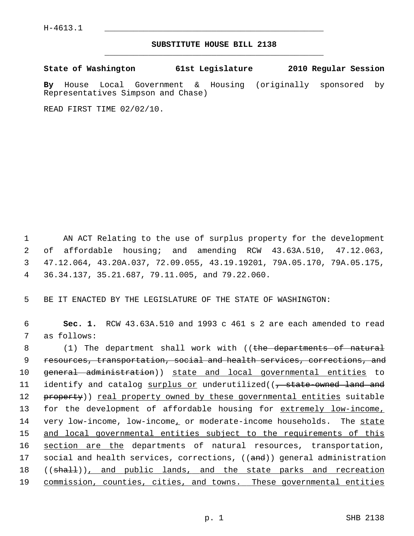## **SUBSTITUTE HOUSE BILL 2138** \_\_\_\_\_\_\_\_\_\_\_\_\_\_\_\_\_\_\_\_\_\_\_\_\_\_\_\_\_\_\_\_\_\_\_\_\_\_\_\_\_\_\_\_\_

**State of Washington 61st Legislature 2010 Regular Session**

**By** House Local Government & Housing (originally sponsored by Representatives Simpson and Chase)

READ FIRST TIME 02/02/10.

 1 AN ACT Relating to the use of surplus property for the development 2 of affordable housing; and amending RCW 43.63A.510, 47.12.063, 3 47.12.064, 43.20A.037, 72.09.055, 43.19.19201, 79A.05.170, 79A.05.175, 4 36.34.137, 35.21.687, 79.11.005, and 79.22.060.

5 BE IT ENACTED BY THE LEGISLATURE OF THE STATE OF WASHINGTON:

 6 **Sec. 1.** RCW 43.63A.510 and 1993 c 461 s 2 are each amended to read 7 as follows:

8 (1) The department shall work with ((the departments of natural 9 resources, transportation, social and health services, corrections, and 10 general administration)) state and local governmental entities to 11 identify and catalog surplus or underutilized((, state-owned land and 12 property)) real property owned by these governmental entities suitable 13 for the development of affordable housing for extremely low-income, 14 very low-income, low-income, or moderate-income households. The state 15 and local governmental entities subject to the requirements of this 16 section are the departments of natural resources, transportation, 17 social and health services, corrections, ((and)) general administration 18 ((shall)), and public lands, and the state parks and recreation 19 commission, counties, cities, and towns. These governmental entities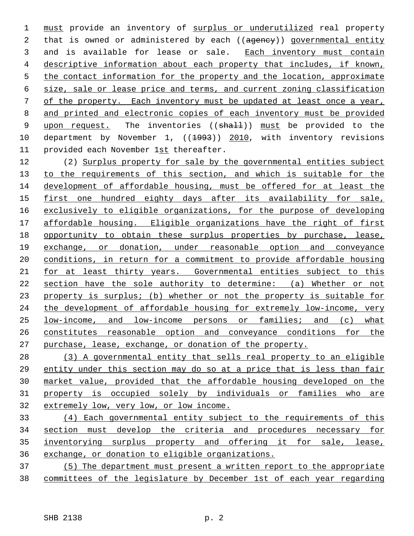must provide an inventory of surplus or underutilized real property 2 that is owned or administered by each ((agency)) governmental entity 3 and is available for lease or sale. Each inventory must contain descriptive information about each property that includes, if known, the contact information for the property and the location, approximate size, sale or lease price and terms, and current zoning classification of the property. Each inventory must be updated at least once a year, and printed and electronic copies of each inventory must be provided 9 upon request. The inventories ((shall)) must be provided to the 10 department by November 1, ((1993)) 2010, with inventory revisions 11 provided each November 1st thereafter.

12 (2) Surplus property for sale by the governmental entities subject to the requirements of this section, and which is suitable for the development of affordable housing, must be offered for at least the first one hundred eighty days after its availability for sale, exclusively to eligible organizations, for the purpose of developing affordable housing. Eligible organizations have the right of first opportunity to obtain these surplus properties by purchase, lease, exchange, or donation, under reasonable option and conveyance conditions, in return for a commitment to provide affordable housing for at least thirty years. Governmental entities subject to this section have the sole authority to determine: (a) Whether or not property is surplus; (b) whether or not the property is suitable for the development of affordable housing for extremely low-income, very low-income, and low-income persons or families; and (c) what constitutes reasonable option and conveyance conditions for the purchase, lease, exchange, or donation of the property.

 (3) A governmental entity that sells real property to an eligible entity under this section may do so at a price that is less than fair market value, provided that the affordable housing developed on the property is occupied solely by individuals or families who are extremely low, very low, or low income.

 (4) Each governmental entity subject to the requirements of this section must develop the criteria and procedures necessary for inventorying surplus property and offering it for sale, lease, exchange, or donation to eligible organizations.

 (5) The department must present a written report to the appropriate committees of the legislature by December 1st of each year regarding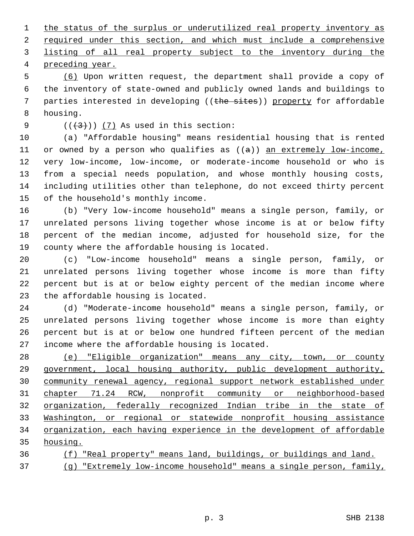the status of the surplus or underutilized real property inventory as required under this section, and which must include a comprehensive listing of all real property subject to the inventory during the preceding year.

 5 (6) Upon written request, the department shall provide a copy of 6 the inventory of state-owned and publicly owned lands and buildings to 7 parties interested in developing ((the sites)) property for affordable 8 housing.

9  $((+3))$   $(7)$  As used in this section:

10 (a) "Affordable housing" means residential housing that is rented 11 or owned by a person who qualifies as  $((a))$  an extremely low-income, 12 very low-income, low-income, or moderate-income household or who is 13 from a special needs population, and whose monthly housing costs, 14 including utilities other than telephone, do not exceed thirty percent 15 of the household's monthly income.

16 (b) "Very low-income household" means a single person, family, or 17 unrelated persons living together whose income is at or below fifty 18 percent of the median income, adjusted for household size, for the 19 county where the affordable housing is located.

20 (c) "Low-income household" means a single person, family, or 21 unrelated persons living together whose income is more than fifty 22 percent but is at or below eighty percent of the median income where 23 the affordable housing is located.

24 (d) "Moderate-income household" means a single person, family, or 25 unrelated persons living together whose income is more than eighty 26 percent but is at or below one hundred fifteen percent of the median 27 income where the affordable housing is located.

 (e) "Eligible organization" means any city, town, or county government, local housing authority, public development authority, community renewal agency, regional support network established under chapter 71.24 RCW, nonprofit community or neighborhood-based organization, federally recognized Indian tribe in the state of Washington, or regional or statewide nonprofit housing assistance organization, each having experience in the development of affordable 35 housing.

36 (f) "Real property" means land, buildings, or buildings and land. 37 (g) "Extremely low-income household" means a single person, family,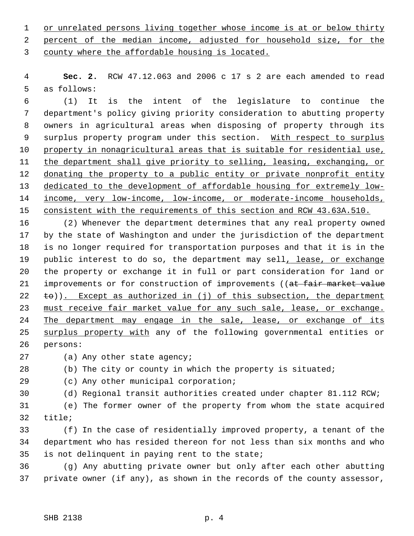1 or unrelated persons living together whose income is at or below thirty 2 percent of the median income, adjusted for household size, for the 3 county where the affordable housing is located.

 4 **Sec. 2.** RCW 47.12.063 and 2006 c 17 s 2 are each amended to read 5 as follows:

 6 (1) It is the intent of the legislature to continue the 7 department's policy giving priority consideration to abutting property 8 owners in agricultural areas when disposing of property through its 9 surplus property program under this section. With respect to surplus 10 property in nonagricultural areas that is suitable for residential use, 11 the department shall give priority to selling, leasing, exchanging, or 12 donating the property to a public entity or private nonprofit entity 13 dedicated to the development of affordable housing for extremely low-14 income, very low-income, low-income, or moderate-income households, 15 consistent with the requirements of this section and RCW 43.63A.510.

16 (2) Whenever the department determines that any real property owned 17 by the state of Washington and under the jurisdiction of the department 18 is no longer required for transportation purposes and that it is in the 19 public interest to do so, the department may sell, lease, or exchange 20 the property or exchange it in full or part consideration for land or 21 improvements or for construction of improvements ((at fair market value 22  $\pm$ o)). Except as authorized in (j) of this subsection, the department 23 must receive fair market value for any such sale, lease, or exchange. 24 The department may engage in the sale, lease, or exchange of its 25 surplus property with any of the following governmental entities or 26 persons:

27 (a) Any other state agency;

28 (b) The city or county in which the property is situated;

29 (c) Any other municipal corporation;

30 (d) Regional transit authorities created under chapter 81.112 RCW;

31 (e) The former owner of the property from whom the state acquired 32 title;

33 (f) In the case of residentially improved property, a tenant of the 34 department who has resided thereon for not less than six months and who 35 is not delinquent in paying rent to the state;

36 (g) Any abutting private owner but only after each other abutting 37 private owner (if any), as shown in the records of the county assessor,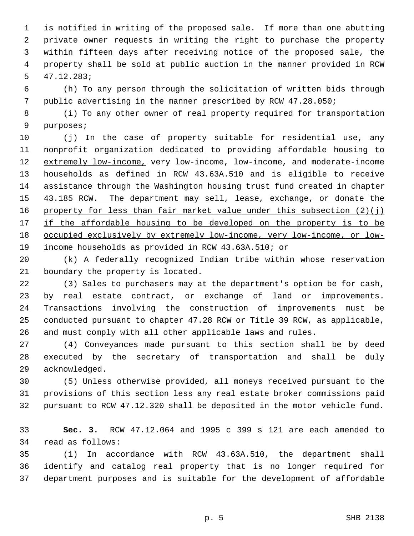1 is notified in writing of the proposed sale. If more than one abutting 2 private owner requests in writing the right to purchase the property 3 within fifteen days after receiving notice of the proposed sale, the 4 property shall be sold at public auction in the manner provided in RCW 5 47.12.283;

 6 (h) To any person through the solicitation of written bids through 7 public advertising in the manner prescribed by RCW 47.28.050;

 8 (i) To any other owner of real property required for transportation 9 purposes;

10 (j) In the case of property suitable for residential use, any 11 nonprofit organization dedicated to providing affordable housing to 12 extremely low-income, very low-income, low-income, and moderate-income 13 households as defined in RCW 43.63A.510 and is eligible to receive 14 assistance through the Washington housing trust fund created in chapter 15 43.185 RCW. The department may sell, lease, exchange, or donate the 16 property for less than fair market value under this subsection  $(2)(j)$ 17 if the affordable housing to be developed on the property is to be 18 occupied exclusively by extremely low-income, very low-income, or low-19 income households as provided in RCW 43.63A.510; or

20 (k) A federally recognized Indian tribe within whose reservation 21 boundary the property is located.

22 (3) Sales to purchasers may at the department's option be for cash, 23 by real estate contract, or exchange of land or improvements. 24 Transactions involving the construction of improvements must be 25 conducted pursuant to chapter 47.28 RCW or Title 39 RCW, as applicable, 26 and must comply with all other applicable laws and rules.

27 (4) Conveyances made pursuant to this section shall be by deed 28 executed by the secretary of transportation and shall be duly 29 acknowledged.

30 (5) Unless otherwise provided, all moneys received pursuant to the 31 provisions of this section less any real estate broker commissions paid 32 pursuant to RCW 47.12.320 shall be deposited in the motor vehicle fund.

33 **Sec. 3.** RCW 47.12.064 and 1995 c 399 s 121 are each amended to 34 read as follows:

35 (1) In accordance with RCW 43.63A.510, the department shall 36 identify and catalog real property that is no longer required for 37 department purposes and is suitable for the development of affordable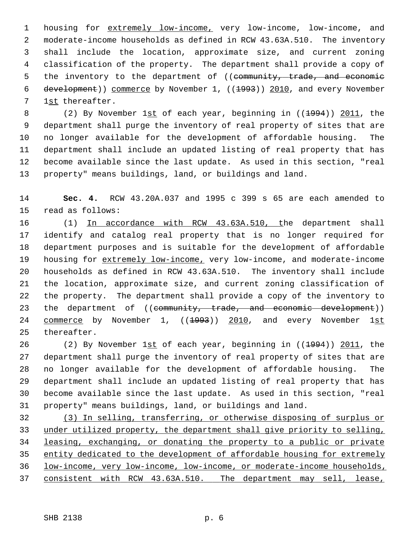1 housing for extremely low-income, very low-income, low-income, and 2 moderate-income households as defined in RCW 43.63A.510. The inventory 3 shall include the location, approximate size, and current zoning 4 classification of the property. The department shall provide a copy of 5 the inventory to the department of ((community, trade, and economic 6 development)) commerce by November 1, ((1993)) 2010, and every November 7 1st thereafter.

8 (2) By November 1st of each year, beginning in ((1994)) 2011, the 9 department shall purge the inventory of real property of sites that are 10 no longer available for the development of affordable housing. The 11 department shall include an updated listing of real property that has 12 become available since the last update. As used in this section, "real 13 property" means buildings, land, or buildings and land.

14 **Sec. 4.** RCW 43.20A.037 and 1995 c 399 s 65 are each amended to 15 read as follows:

16 (1) In accordance with RCW 43.63A.510, the department shall 17 identify and catalog real property that is no longer required for 18 department purposes and is suitable for the development of affordable 19 housing for extremely low-income, very low-income, and moderate-income 20 households as defined in RCW 43.63A.510. The inventory shall include 21 the location, approximate size, and current zoning classification of 22 the property. The department shall provide a copy of the inventory to 23 the department of ((community, trade, and economic development)) 24 commerce by November 1, ((1993)) 2010, and every November 1st 25 thereafter.

26 (2) By November 1st of each year, beginning in ((1994)) 2011, the 27 department shall purge the inventory of real property of sites that are 28 no longer available for the development of affordable housing. The 29 department shall include an updated listing of real property that has 30 become available since the last update. As used in this section, "real 31 property" means buildings, land, or buildings and land.

 (3) In selling, transferring, or otherwise disposing of surplus or under utilized property, the department shall give priority to selling, leasing, exchanging, or donating the property to a public or private entity dedicated to the development of affordable housing for extremely low-income, very low-income, low-income, or moderate-income households, consistent with RCW 43.63A.510. The department may sell, lease,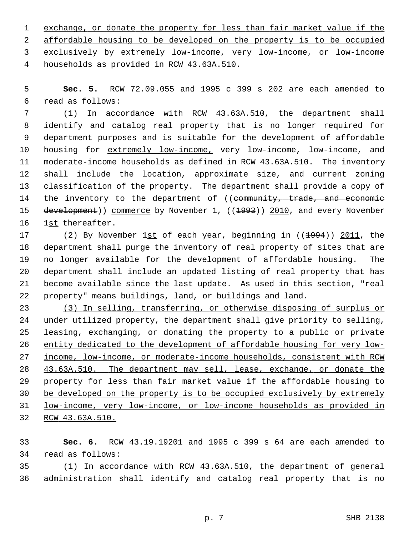exchange, or donate the property for less than fair market value if the affordable housing to be developed on the property is to be occupied exclusively by extremely low-income, very low-income, or low-income households as provided in RCW 43.63A.510.

 5 **Sec. 5.** RCW 72.09.055 and 1995 c 399 s 202 are each amended to 6 read as follows:

 7 (1) In accordance with RCW 43.63A.510, the department shall 8 identify and catalog real property that is no longer required for 9 department purposes and is suitable for the development of affordable 10 housing for extremely low-income, very low-income, low-income, and 11 moderate-income households as defined in RCW 43.63A.510. The inventory 12 shall include the location, approximate size, and current zoning 13 classification of the property. The department shall provide a copy of 14 the inventory to the department of ((community, trade, and economic 15 development)) commerce by November 1, ((1993)) 2010, and every November 16 1st thereafter.

17 (2) By November 1st of each year, beginning in ((<del>1994</del>)) 2011, the 18 department shall purge the inventory of real property of sites that are 19 no longer available for the development of affordable housing. The 20 department shall include an updated listing of real property that has 21 become available since the last update. As used in this section, "real 22 property" means buildings, land, or buildings and land.

 (3) In selling, transferring, or otherwise disposing of surplus or under utilized property, the department shall give priority to selling, leasing, exchanging, or donating the property to a public or private entity dedicated to the development of affordable housing for very low- income, low-income, or moderate-income households, consistent with RCW 43.63A.510. The department may sell, lease, exchange, or donate the property for less than fair market value if the affordable housing to be developed on the property is to be occupied exclusively by extremely low-income, very low-income, or low-income households as provided in RCW 43.63A.510.

33 **Sec. 6.** RCW 43.19.19201 and 1995 c 399 s 64 are each amended to 34 read as follows:

35 (1) In accordance with RCW 43.63A.510, the department of general 36 administration shall identify and catalog real property that is no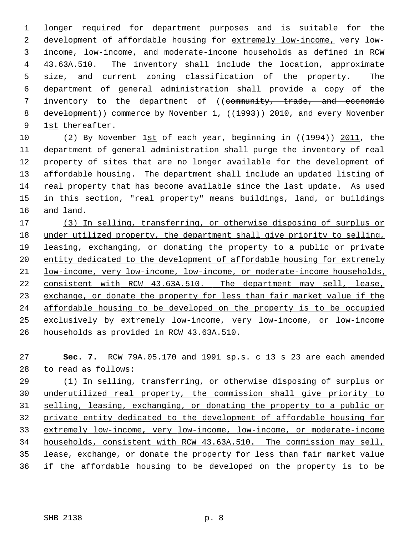1 longer required for department purposes and is suitable for the 2 development of affordable housing for extremely low-income, very low- 3 income, low-income, and moderate-income households as defined in RCW 4 43.63A.510. The inventory shall include the location, approximate 5 size, and current zoning classification of the property. The 6 department of general administration shall provide a copy of the 7 inventory to the department of ((community, trade, and economic 8 development)) commerce by November 1, ((1993)) 2010, and every November 9 1st thereafter.

10 (2) By November 1st of each year, beginning in ((<del>1994</del>)) 2011, the 11 department of general administration shall purge the inventory of real 12 property of sites that are no longer available for the development of 13 affordable housing. The department shall include an updated listing of 14 real property that has become available since the last update. As used 15 in this section, "real property" means buildings, land, or buildings 16 and land.

 (3) In selling, transferring, or otherwise disposing of surplus or under utilized property, the department shall give priority to selling, leasing, exchanging, or donating the property to a public or private entity dedicated to the development of affordable housing for extremely low-income, very low-income, low-income, or moderate-income households, consistent with RCW 43.63A.510. The department may sell, lease, exchange, or donate the property for less than fair market value if the affordable housing to be developed on the property is to be occupied exclusively by extremely low-income, very low-income, or low-income households as provided in RCW 43.63A.510.

27 **Sec. 7.** RCW 79A.05.170 and 1991 sp.s. c 13 s 23 are each amended 28 to read as follows:

29 (1) In selling, transferring, or otherwise disposing of surplus or underutilized real property, the commission shall give priority to selling, leasing, exchanging, or donating the property to a public or private entity dedicated to the development of affordable housing for extremely low-income, very low-income, low-income, or moderate-income households, consistent with RCW 43.63A.510. The commission may sell, lease, exchange, or donate the property for less than fair market value if the affordable housing to be developed on the property is to be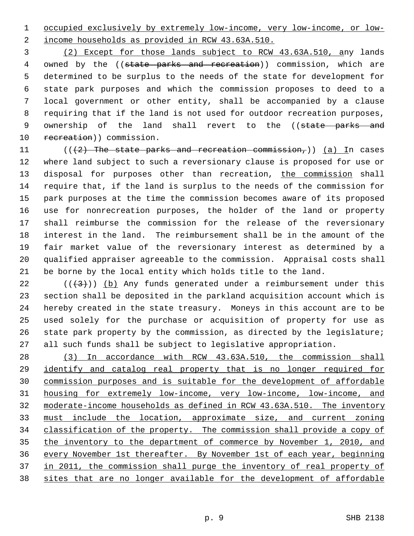1 occupied exclusively by extremely low-income, very low-income, or low-

2 income households as provided in RCW 43.63A.510.

 3 (2) Except for those lands subject to RCW 43.63A.510, any lands 4 owned by the ((state parks and recreation)) commission, which are 5 determined to be surplus to the needs of the state for development for 6 state park purposes and which the commission proposes to deed to a 7 local government or other entity, shall be accompanied by a clause 8 requiring that if the land is not used for outdoor recreation purposes, 9 ownership of the land shall revert to the ((state parks and 10 recreation)) commission.

11 ( $((2)$  The state parks and recreation commission,)) (a) In cases 12 where land subject to such a reversionary clause is proposed for use or 13 disposal for purposes other than recreation, the commission shall 14 require that, if the land is surplus to the needs of the commission for 15 park purposes at the time the commission becomes aware of its proposed 16 use for nonrecreation purposes, the holder of the land or property 17 shall reimburse the commission for the release of the reversionary 18 interest in the land. The reimbursement shall be in the amount of the 19 fair market value of the reversionary interest as determined by a 20 qualified appraiser agreeable to the commission. Appraisal costs shall 21 be borne by the local entity which holds title to the land.

22 ( $(\overline{3})$ ) (b) Any funds generated under a reimbursement under this 23 section shall be deposited in the parkland acquisition account which is 24 hereby created in the state treasury. Moneys in this account are to be 25 used solely for the purchase or acquisition of property for use as 26 state park property by the commission, as directed by the legislature; 27 all such funds shall be subject to legislative appropriation.

 (3) In accordance with RCW 43.63A.510, the commission shall identify and catalog real property that is no longer required for commission purposes and is suitable for the development of affordable housing for extremely low-income, very low-income, low-income, and moderate-income households as defined in RCW 43.63A.510. The inventory must include the location, approximate size, and current zoning classification of the property. The commission shall provide a copy of the inventory to the department of commerce by November 1, 2010, and every November 1st thereafter. By November 1st of each year, beginning in 2011, the commission shall purge the inventory of real property of sites that are no longer available for the development of affordable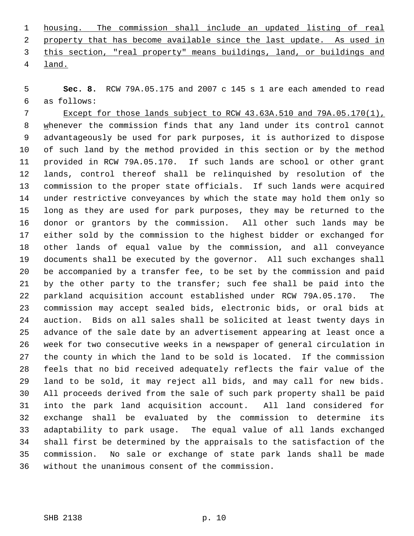| 1 housing. The commission shall include an updated listing of real      |  |  |  |  |  |  |  |
|-------------------------------------------------------------------------|--|--|--|--|--|--|--|
| 2 property that has become available since the last update. As used in  |  |  |  |  |  |  |  |
| 3 this section, "real property" means buildings, land, or buildings and |  |  |  |  |  |  |  |
| 4 land.                                                                 |  |  |  |  |  |  |  |

 5 **Sec. 8.** RCW 79A.05.175 and 2007 c 145 s 1 are each amended to read 6 as follows:

 7 Except for those lands subject to RCW 43.63A.510 and 79A.05.170(1), 8 whenever the commission finds that any land under its control cannot 9 advantageously be used for park purposes, it is authorized to dispose 10 of such land by the method provided in this section or by the method 11 provided in RCW 79A.05.170. If such lands are school or other grant 12 lands, control thereof shall be relinquished by resolution of the 13 commission to the proper state officials. If such lands were acquired 14 under restrictive conveyances by which the state may hold them only so 15 long as they are used for park purposes, they may be returned to the 16 donor or grantors by the commission. All other such lands may be 17 either sold by the commission to the highest bidder or exchanged for 18 other lands of equal value by the commission, and all conveyance 19 documents shall be executed by the governor. All such exchanges shall 20 be accompanied by a transfer fee, to be set by the commission and paid 21 by the other party to the transfer; such fee shall be paid into the 22 parkland acquisition account established under RCW 79A.05.170. The 23 commission may accept sealed bids, electronic bids, or oral bids at 24 auction. Bids on all sales shall be solicited at least twenty days in 25 advance of the sale date by an advertisement appearing at least once a 26 week for two consecutive weeks in a newspaper of general circulation in 27 the county in which the land to be sold is located. If the commission 28 feels that no bid received adequately reflects the fair value of the 29 land to be sold, it may reject all bids, and may call for new bids. 30 All proceeds derived from the sale of such park property shall be paid 31 into the park land acquisition account. All land considered for 32 exchange shall be evaluated by the commission to determine its 33 adaptability to park usage. The equal value of all lands exchanged 34 shall first be determined by the appraisals to the satisfaction of the 35 commission. No sale or exchange of state park lands shall be made 36 without the unanimous consent of the commission.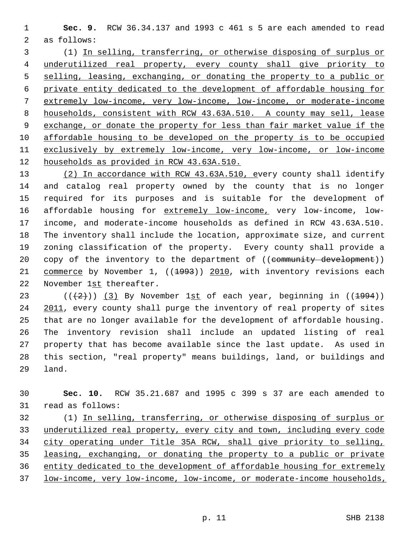1 **Sec. 9.** RCW 36.34.137 and 1993 c 461 s 5 are each amended to read 2 as follows:

 3 (1) In selling, transferring, or otherwise disposing of surplus or underutilized real property, every county shall give priority to selling, leasing, exchanging, or donating the property to a public or private entity dedicated to the development of affordable housing for extremely low-income, very low-income, low-income, or moderate-income households, consistent with RCW 43.63A.510. A county may sell, lease exchange, or donate the property for less than fair market value if the affordable housing to be developed on the property is to be occupied exclusively by extremely low-income, very low-income, or low-income households as provided in RCW 43.63A.510.

13 (2) In accordance with RCW 43.63A.510, every county shall identify 14 and catalog real property owned by the county that is no longer 15 required for its purposes and is suitable for the development of 16 affordable housing for extremely low-income, very low-income, low-17 income, and moderate-income households as defined in RCW 43.63A.510. 18 The inventory shall include the location, approximate size, and current 19 zoning classification of the property. Every county shall provide a 20 copy of the inventory to the department of ((community development)) 21 commerce by November 1, ((<del>1993</del>)) 2010, with inventory revisions each 22 November 1st thereafter.

23 ( $(\frac{2}{2})$ ) (3) By November 1st of each year, beginning in ( $(\frac{1994}{2})$ ) 24 2011, every county shall purge the inventory of real property of sites 25 that are no longer available for the development of affordable housing. 26 The inventory revision shall include an updated listing of real 27 property that has become available since the last update. As used in 28 this section, "real property" means buildings, land, or buildings and 29 land.

30 **Sec. 10.** RCW 35.21.687 and 1995 c 399 s 37 are each amended to 31 read as follows:

32 (1) In selling, transferring, or otherwise disposing of surplus or underutilized real property, every city and town, including every code city operating under Title 35A RCW, shall give priority to selling, leasing, exchanging, or donating the property to a public or private entity dedicated to the development of affordable housing for extremely low-income, very low-income, low-income, or moderate-income households,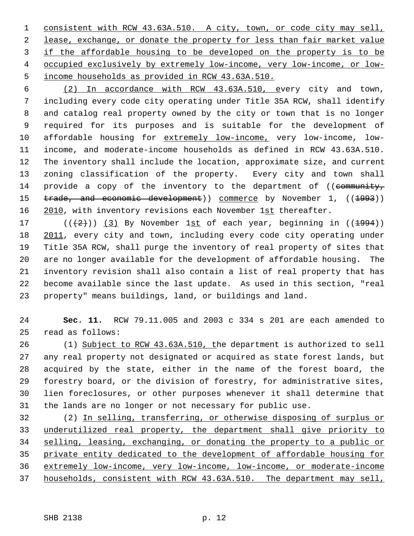consistent with RCW 43.63A.510. A city, town, or code city may sell, lease, exchange, or donate the property for less than fair market value if the affordable housing to be developed on the property is to be occupied exclusively by extremely low-income, very low-income, or low- income households as provided in RCW 43.63A.510.

 6 (2) In accordance with RCW 43.63A.510, every city and town, 7 including every code city operating under Title 35A RCW, shall identify 8 and catalog real property owned by the city or town that is no longer 9 required for its purposes and is suitable for the development of 10 affordable housing for extremely low-income, very low-income, low-11 income, and moderate-income households as defined in RCW 43.63A.510. 12 The inventory shall include the location, approximate size, and current 13 zoning classification of the property. Every city and town shall 14 provide a copy of the inventory to the department of ((community, 15 trade, and economic development)) commerce by November 1, ((1993)) 16 2010, with inventory revisions each November 1st thereafter.

17 ( $(\frac{1}{2})$ ) (3) By November 1st of each year, beginning in ( $(\frac{1994}{1})$ ) 18 2011, every city and town, including every code city operating under 19 Title 35A RCW, shall purge the inventory of real property of sites that 20 are no longer available for the development of affordable housing. The 21 inventory revision shall also contain a list of real property that has 22 become available since the last update. As used in this section, "real 23 property" means buildings, land, or buildings and land.

24 **Sec. 11.** RCW 79.11.005 and 2003 c 334 s 201 are each amended to 25 read as follows:

26 (1) Subject to RCW 43.63A.510, the department is authorized to sell 27 any real property not designated or acquired as state forest lands, but 28 acquired by the state, either in the name of the forest board, the 29 forestry board, or the division of forestry, for administrative sites, 30 lien foreclosures, or other purposes whenever it shall determine that 31 the lands are no longer or not necessary for public use.

32 (2) In selling, transferring, or otherwise disposing of surplus or underutilized real property, the department shall give priority to selling, leasing, exchanging, or donating the property to a public or private entity dedicated to the development of affordable housing for extremely low-income, very low-income, low-income, or moderate-income households, consistent with RCW 43.63A.510. The department may sell,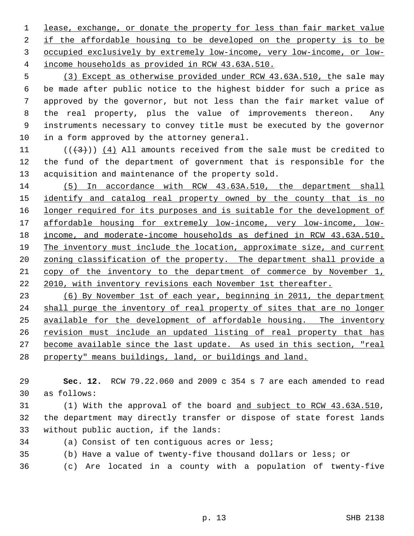lease, exchange, or donate the property for less than fair market value if the affordable housing to be developed on the property is to be occupied exclusively by extremely low-income, very low-income, or low- income households as provided in RCW 43.63A.510.

 5 (3) Except as otherwise provided under RCW 43.63A.510, the sale may 6 be made after public notice to the highest bidder for such a price as 7 approved by the governor, but not less than the fair market value of 8 the real property, plus the value of improvements thereon. Any 9 instruments necessary to convey title must be executed by the governor 10 in a form approved by the attorney general.

11  $((+3))$  (4) All amounts received from the sale must be credited to 12 the fund of the department of government that is responsible for the 13 acquisition and maintenance of the property sold.

 (5) In accordance with RCW 43.63A.510, the department shall 15 identify and catalog real property owned by the county that is no longer required for its purposes and is suitable for the development of affordable housing for extremely low-income, very low-income, low- income, and moderate-income households as defined in RCW 43.63A.510. The inventory must include the location, approximate size, and current 20 zoning classification of the property. The department shall provide a copy of the inventory to the department of commerce by November 1, 2010, with inventory revisions each November 1st thereafter.

 (6) By November 1st of each year, beginning in 2011, the department shall purge the inventory of real property of sites that are no longer available for the development of affordable housing. The inventory revision must include an updated listing of real property that has become available since the last update. As used in this section, "real property" means buildings, land, or buildings and land.

29 **Sec. 12.** RCW 79.22.060 and 2009 c 354 s 7 are each amended to read 30 as follows:

31 (1) With the approval of the board and subject to RCW 43.63A.510, 32 the department may directly transfer or dispose of state forest lands 33 without public auction, if the lands:

- 34 (a) Consist of ten contiguous acres or less;
- 35 (b) Have a value of twenty-five thousand dollars or less; or
- 36 (c) Are located in a county with a population of twenty-five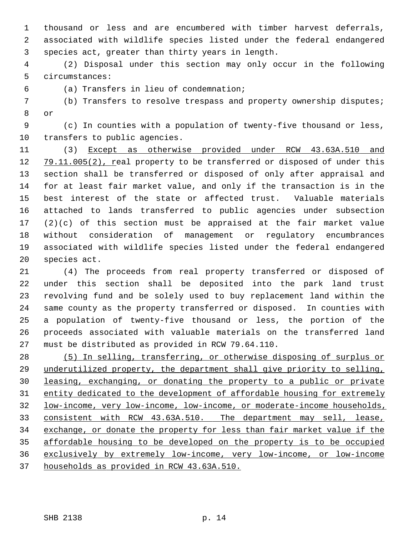1 thousand or less and are encumbered with timber harvest deferrals, 2 associated with wildlife species listed under the federal endangered 3 species act, greater than thirty years in length.

 4 (2) Disposal under this section may only occur in the following 5 circumstances:

6 (a) Transfers in lieu of condemnation;

 7 (b) Transfers to resolve trespass and property ownership disputes; 8 or

 9 (c) In counties with a population of twenty-five thousand or less, 10 transfers to public agencies.

11 (3) Except as otherwise provided under RCW 43.63A.510 and 12 79.11.005(2), real property to be transferred or disposed of under this 13 section shall be transferred or disposed of only after appraisal and 14 for at least fair market value, and only if the transaction is in the 15 best interest of the state or affected trust. Valuable materials 16 attached to lands transferred to public agencies under subsection 17 (2)(c) of this section must be appraised at the fair market value 18 without consideration of management or regulatory encumbrances 19 associated with wildlife species listed under the federal endangered 20 species act.

21 (4) The proceeds from real property transferred or disposed of 22 under this section shall be deposited into the park land trust 23 revolving fund and be solely used to buy replacement land within the 24 same county as the property transferred or disposed. In counties with 25 a population of twenty-five thousand or less, the portion of the 26 proceeds associated with valuable materials on the transferred land 27 must be distributed as provided in RCW 79.64.110.

 (5) In selling, transferring, or otherwise disposing of surplus or 29 underutilized property, the department shall give priority to selling, leasing, exchanging, or donating the property to a public or private entity dedicated to the development of affordable housing for extremely low-income, very low-income, low-income, or moderate-income households, consistent with RCW 43.63A.510. The department may sell, lease, exchange, or donate the property for less than fair market value if the affordable housing to be developed on the property is to be occupied exclusively by extremely low-income, very low-income, or low-income households as provided in RCW 43.63A.510.